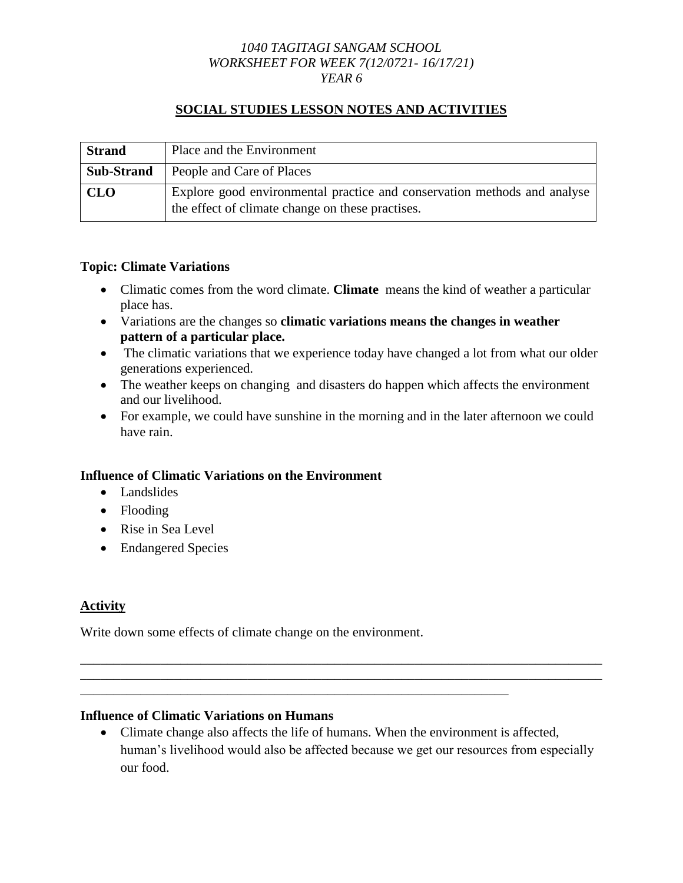### *1040 TAGITAGI SANGAM SCHOOL WORKSHEET FOR WEEK 7(12/0721- 16/17/21) YEAR 6*

### **SOCIAL STUDIES LESSON NOTES AND ACTIVITIES**

| <b>Strand</b>     | Place and the Environment                                                                                                    |
|-------------------|------------------------------------------------------------------------------------------------------------------------------|
| <b>Sub-Strand</b> | People and Care of Places                                                                                                    |
| <b>CLO</b>        | Explore good environmental practice and conservation methods and analyse<br>the effect of climate change on these practises. |

### **Topic: Climate Variations**

- Climatic comes from the word climate. **Climate** means the kind of weather a particular place has.
- Variations are the changes so **climatic variations means the changes in weather pattern of a particular place.**
- The climatic variations that we experience today have changed a lot from what our older generations experienced.
- The weather keeps on changing and disasters do happen which affects the environment and our livelihood.
- For example, we could have sunshine in the morning and in the later afternoon we could have rain.

### **Influence of Climatic Variations on the Environment**

- Landslides
- Flooding
- Rise in Sea Level
- Endangered Species

# **Activity**

Write down some effects of climate change on the environment.

### **Influence of Climatic Variations on Humans**

 Climate change also affects the life of humans. When the environment is affected, human's livelihood would also be affected because we get our resources from especially our food.

\_\_\_\_\_\_\_\_\_\_\_\_\_\_\_\_\_\_\_\_\_\_\_\_\_\_\_\_\_\_\_\_\_\_\_\_\_\_\_\_\_\_\_\_\_\_\_\_\_\_\_\_\_\_\_\_\_\_\_\_\_\_\_\_\_\_\_\_\_\_\_\_\_\_\_\_\_\_ \_\_\_\_\_\_\_\_\_\_\_\_\_\_\_\_\_\_\_\_\_\_\_\_\_\_\_\_\_\_\_\_\_\_\_\_\_\_\_\_\_\_\_\_\_\_\_\_\_\_\_\_\_\_\_\_\_\_\_\_\_\_\_\_\_\_\_\_\_\_\_\_\_\_\_\_\_\_

\_\_\_\_\_\_\_\_\_\_\_\_\_\_\_\_\_\_\_\_\_\_\_\_\_\_\_\_\_\_\_\_\_\_\_\_\_\_\_\_\_\_\_\_\_\_\_\_\_\_\_\_\_\_\_\_\_\_\_\_\_\_\_\_